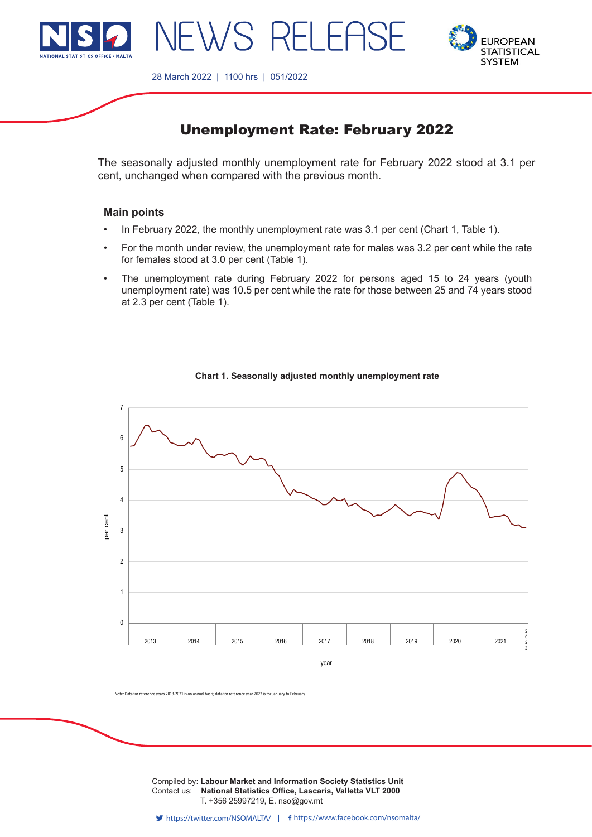



28 March 2022 | 1100 hrs | 051/2022

NEWS RELEAS

# Unemployment Rate: February 2022

The seasonally adjusted monthly unemployment rate for February 2022 stood at 3.1 per cent, unchanged when compared with the previous month.

# **Main points**

- In February 2022, the monthly unemployment rate was 3.1 per cent (Chart 1, Table 1).
- • For the month under review, the unemployment rate for males was 3.2 per cent while the rate for females stood at 3.0 per cent (Table 1).
- The unemployment rate during February 2022 for persons aged 15 to 24 years (youth unemployment rate) was 10.5 per cent while the rate for those between 25 and 74 years stood at 2.3 per cent (Table 1).



#### **Chart 1. Seasonally adjusted monthly unemployment rate**

Note: Data for reference years 2013-2021 is on annual basis; data for reference year 2022 is for January to February.

**Compiled by: Labour Market and Information Society Statistics Unit** Contact us: **National Statistics Office, Lascaris, Valletta VLT 2000** T. +356 25997219, E. nso@gov.mt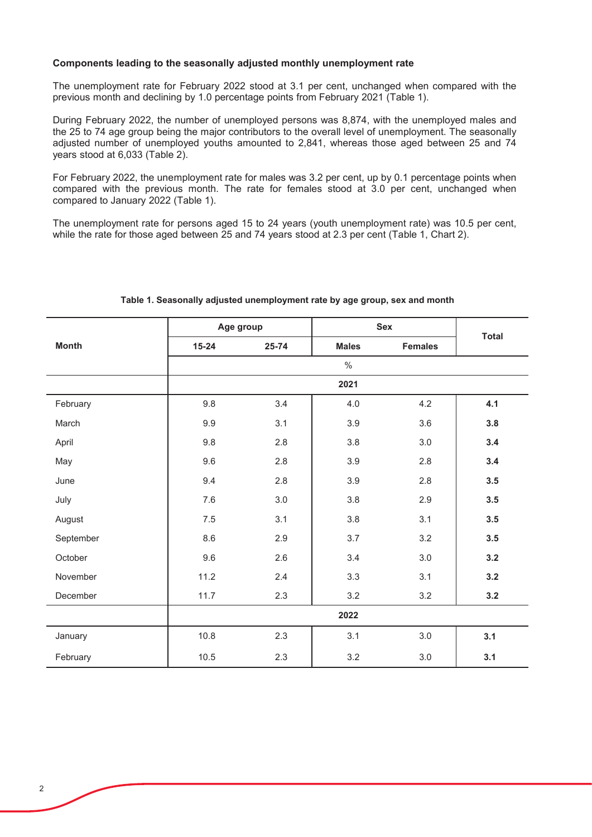### Components leading to the seasonally adjusted monthly unemployment rate

The unemployment rate for February 2022 stood at 3.1 per cent, unchanged when compared with the previous month and declining by 1.0 percentage points from February 2021 (Table 1).

During February 2022, the number of unemployed persons was 8,874, with the unemployed males and the 25 to 74 age group being the major contributors to the overall level of unemployment. The seasonally adjusted number of unemployed youths amounted to 2,841, whereas those aged between 25 and 74 years stood at 6,033 (Table 2).

For February 2022, the unemployment rate for males was 3.2 per cent, up by 0.1 percentage points when compared with the previous month. The rate for females stood at 3.0 per cent, unchanged when compared to January 2022 (Table 1).

The unemployment rate for persons aged 15 to 24 years (youth unemployment rate) was 10.5 per cent, while the rate for those aged between 25 and 74 years stood at 2.3 per cent (Table 1, Chart 2).

|              | Age group |       | <b>Sex</b>   |                | <b>Total</b> |  |  |
|--------------|-----------|-------|--------------|----------------|--------------|--|--|
| <b>Month</b> | $15 - 24$ | 25-74 | <b>Males</b> | <b>Females</b> |              |  |  |
|              |           |       | $\%$         |                |              |  |  |
|              | 2021      |       |              |                |              |  |  |
| February     | 9.8       | 3.4   | 4.0          | 4.2            | 4.1          |  |  |
| March        | 9.9       | 3.1   | 3.9          | 3.6            | 3.8          |  |  |
| April        | 9.8       | 2.8   | 3.8          | 3.0            | 3.4          |  |  |
| May          | 9.6       | 2.8   | 3.9          | 2.8            | 3.4          |  |  |
| June         | 9.4       | 2.8   | 3.9          | 2.8            | 3.5          |  |  |
| July         | 7.6       | 3.0   | 3.8          | 2.9            | 3.5          |  |  |
| August       | 7.5       | 3.1   | 3.8          | 3.1            | 3.5          |  |  |
| September    | 8.6       | 2.9   | 3.7          | 3.2            | 3.5          |  |  |
| October      | 9.6       | 2.6   | 3.4          | 3.0            | 3.2          |  |  |
| November     | 11.2      | 2.4   | 3.3          | 3.1            | 3.2          |  |  |
| December     | 11.7      | 2.3   | 3.2          | 3.2            | 3.2          |  |  |
|              | 2022      |       |              |                |              |  |  |
| January      | 10.8      | 2.3   | 3.1          | 3.0            | 3.1          |  |  |
| February     | 10.5      | 2.3   | 3.2          | 3.0            | 3.1          |  |  |

## Table 1. Seasonally adjusted unemployment rate by age group, sex and month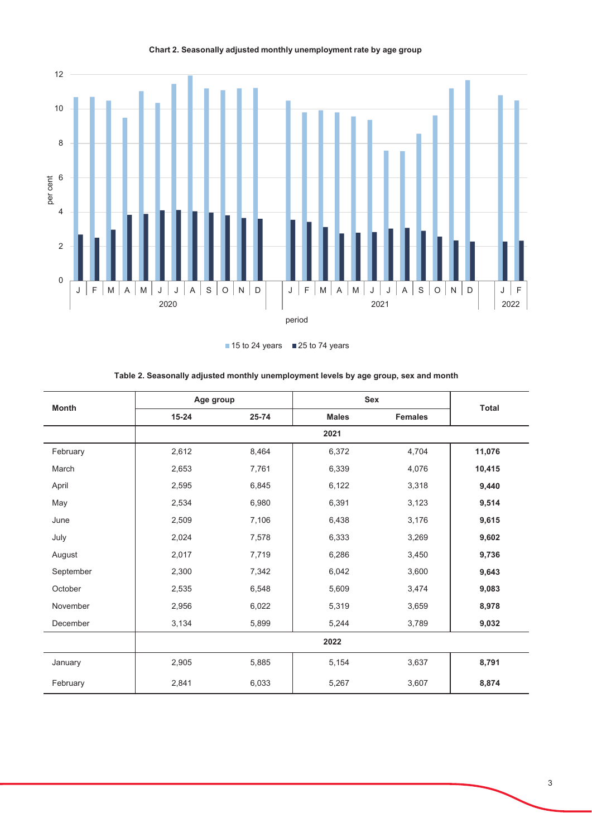

Chart 2. Seasonally adjusted monthly unemployment rate by age group

■ 15 to 24 years ■ 25 to 74 years

| <b>Month</b> | Age group |       | Sex          |                |              |  |  |
|--------------|-----------|-------|--------------|----------------|--------------|--|--|
|              | $15 - 24$ | 25-74 | <b>Males</b> | <b>Females</b> | <b>Total</b> |  |  |
|              | 2021      |       |              |                |              |  |  |
| February     | 2,612     | 8,464 | 6,372        | 4,704          | 11,076       |  |  |
| March        | 2,653     | 7,761 | 6,339        | 4,076          | 10,415       |  |  |
| April        | 2,595     | 6,845 | 6,122        | 3,318          | 9,440        |  |  |
| May          | 2,534     | 6,980 | 6,391        | 3,123          | 9,514        |  |  |
| June         | 2,509     | 7,106 | 6,438        | 3,176          | 9,615        |  |  |
| July         | 2,024     | 7,578 | 6,333        | 3,269          | 9,602        |  |  |
| August       | 2,017     | 7,719 | 6,286        | 3,450          | 9,736        |  |  |
| September    | 2,300     | 7,342 | 6,042        | 3,600          | 9,643        |  |  |
| October      | 2,535     | 6,548 | 5,609        | 3,474          | 9,083        |  |  |
| November     | 2,956     | 6,022 | 5,319        | 3,659          | 8,978        |  |  |
| December     | 3,134     | 5,899 | 5,244        | 3,789          | 9,032        |  |  |
|              | 2022      |       |              |                |              |  |  |
| January      | 2,905     | 5,885 | 5,154        | 3,637          | 8,791        |  |  |
| February     | 2,841     | 6,033 | 5,267        | 3,607          | 8,874        |  |  |

Table 2. Seasonally adjusted monthly unemployment levels by age group, sex and month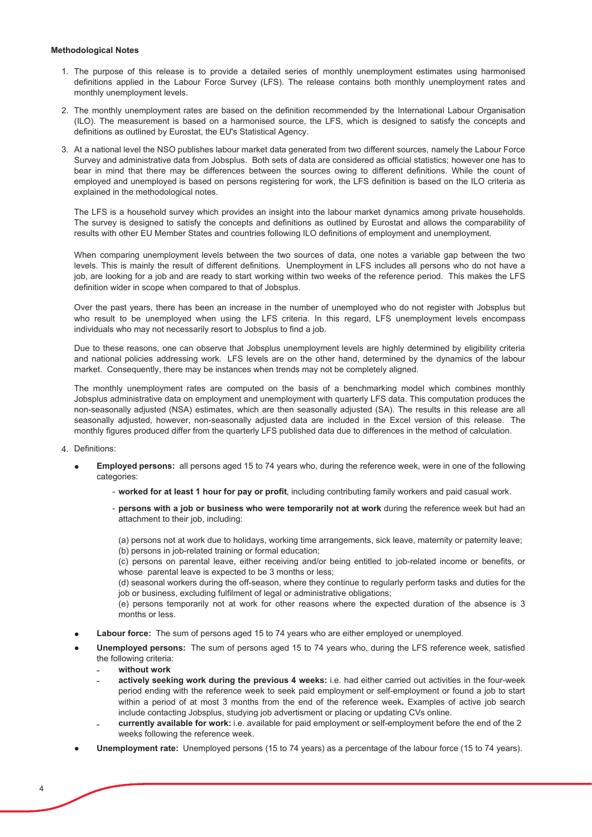#### **Methodological Notes**

- 1. The purpose of this release is to provide a detailed series of monthly unemployment estimates using harmonised definitions applied in the Labour Force Survey (LFS). The release contains both monthly unemployment rates and monthly unemployment levels.
- 2. The monthly unemployment rates are based on the definition recommended by the International Labour Organisation (ILO). The measurement is based on a harmonised source, the LFS, which is designed to satisfy the concepts and definitions as outlined by Eurostat, the EU's Statistical Agency.
- 3. At a national level the NSO publishes labour market data generated from two different sources, namely the Labour Force Survey and administrative data from Jobsplus. Both sets of data are considered as official statistics; however one has to bear in mind that there may be differences between the sources owing to different definitions. While the count of employed and unemployed is based on persons registering for work, the LFS definition is based on the ILO criteria as explained in the methodological notes.

The LFS is a household survey which provides an insight into the labour market dynamics among private households. The survey is designed to satisfy the concepts and definitions as outlined by Eurostat and allows the comparability of results with other EU Member States and countries following ILO definitions of employment and unemployment.

When comparing unemployment levels between the two sources of data, one notes a variable gap between the two levels. This is mainly the result of different definitions. Unemployment in LFS includes all persons who do not have a job, are looking for a job and are ready to start working within two weeks of the reference period. This makes the LFS definition wider in scope when compared to that of Jobsplus.

Over the past years, there has been an increase in the number of unemployed who do not register with Jobsplus but who result to be unemployed when using the LFS criteria. In this regard, LFS unemployment levels encompass individuals who may not necessarily resort to Jobsplus to find a job.

Due to these reasons, one can observe that Jobsplus unemployment levels are highly determined by eligibility criteria and national policies addressing work. LFS levels are on the other hand, determined by the dynamics of the labour market. Consequently, there may be instances when trends may not be completely aligned.

The monthly unemployment rates are computed on the basis of a benchmarking model which combines monthly Jobsplus administrative data on employment and unemployment with quarterly LFS data. This computation produces the non-seasonally adjusted (NSA) estimates, which are then seasonally adjusted (SA). The results in this release are all seasonally adjusted, however, non-seasonally adjusted data are included in the Excel version of this release. The monthly figures produced differ from the quarterly LFS published data due to differences in the method of calculation.

- 4. Definitions:
	- Employed persons: all persons aged 15 to 74 years who, during the reference week, were in one of the following categories:
		- worked for at least 1 hour for pay or profit, including contributing family workers and paid casual work.
		- persons with a job or business who were temporarily not at work during the reference week but had an attachment to their job, including:

(a) persons not at work due to holidays, working time arrangements, sick leave, maternity or paternity leave; (b) persons in job-related training or formal education;

(c) persons on parental leave, either receiving and/or being entitled to job-related income or benefits, or whose parental leave is expected to be 3 months or less;

(d) seasonal workers during the off-season, where they continue to regularly perform tasks and duties for the job or business, excluding fulfilment of legal or administrative obligations;

(e) persons temporarily not at work for other reasons where the expected duration of the absence is 3 months or less.

- Labour force: The sum of persons aged 15 to 74 years who are either employed or unemployed.
- Unemployed persons: The sum of persons aged 15 to 74 years who, during the LFS reference week, satisfied the following criteria:
	- without work
	- actively seeking work during the previous 4 weeks: i.e. had either carried out activities in the four-week period ending with the reference week to seek paid employment or self-employment or found a job to start within a period of at most 3 months from the end of the reference week. Examples of active job search include contacting Jobsplus, studying job advertisment or placing or updating CVs online.
	- currently available for work: i.e. available for paid employment or self-employment before the end of the 2 weeks following the reference week.
- **Unemployment rate:** Unemployed persons (15 to 74 years) as a percentage of the labour force (15 to 74 years).